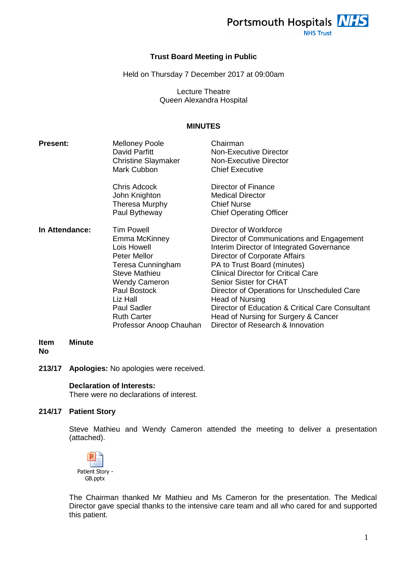

### **Trust Board Meeting in Public**

Held on Thursday 7 December 2017 at 09:00am

Lecture Theatre Queen Alexandra Hospital

# **MINUTES**

| <b>Present:</b> | <b>Melloney Poole</b><br>David Parfitt<br><b>Christine Slaymaker</b><br>Mark Cubbon                                                                                                                                                              | Chairman<br>Non-Executive Director<br><b>Non-Executive Director</b><br><b>Chief Executive</b>                                                                                                                                                                                                                                                                                                                                                              |
|-----------------|--------------------------------------------------------------------------------------------------------------------------------------------------------------------------------------------------------------------------------------------------|------------------------------------------------------------------------------------------------------------------------------------------------------------------------------------------------------------------------------------------------------------------------------------------------------------------------------------------------------------------------------------------------------------------------------------------------------------|
|                 | <b>Chris Adcock</b><br>John Knighton<br>Theresa Murphy<br>Paul Bytheway                                                                                                                                                                          | Director of Finance<br><b>Medical Director</b><br><b>Chief Nurse</b><br><b>Chief Operating Officer</b>                                                                                                                                                                                                                                                                                                                                                     |
| In Attendance:  | <b>Tim Powell</b><br>Emma McKinney<br>Lois Howell<br><b>Peter Mellor</b><br>Teresa Cunningham<br><b>Steve Mathieu</b><br><b>Wendy Cameron</b><br>Paul Bostock<br>Liz Hall<br><b>Paul Sadler</b><br><b>Ruth Carter</b><br>Professor Anoop Chauhan | Director of Workforce<br>Director of Communications and Engagement<br>Interim Director of Integrated Governance<br>Director of Corporate Affairs<br>PA to Trust Board (minutes)<br><b>Clinical Director for Critical Care</b><br>Senior Sister for CHAT<br>Director of Operations for Unscheduled Care<br>Head of Nursing<br>Director of Education & Critical Care Consultant<br>Head of Nursing for Surgery & Cancer<br>Director of Research & Innovation |

#### **Item No Minute**

**213/17 Apologies:** No apologies were received.

### **Declaration of Interests:**

There were no declarations of interest.

# **214/17 Patient Story**

Steve Mathieu and Wendy Cameron attended the meeting to deliver a presentation (attached).



The Chairman thanked Mr Mathieu and Ms Cameron for the presentation. The Medical Director gave special thanks to the intensive care team and all who cared for and supported this patient.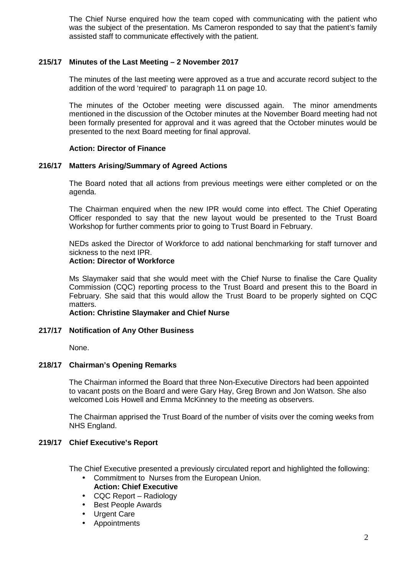The Chief Nurse enquired how the team coped with communicating with the patient who was the subject of the presentation. Ms Cameron responded to say that the patient's family assisted staff to communicate effectively with the patient.

# **215/17 Minutes of the Last Meeting – 2 November 2017**

The minutes of the last meeting were approved as a true and accurate record subject to the addition of the word 'required' to paragraph 11 on page 10.

The minutes of the October meeting were discussed again. The minor amendments mentioned in the discussion of the October minutes at the November Board meeting had not been formally presented for approval and it was agreed that the October minutes would be presented to the next Board meeting for final approval.

### **Action: Director of Finance**

### **216/17 Matters Arising/Summary of Agreed Actions**

The Board noted that all actions from previous meetings were either completed or on the agenda.

The Chairman enquired when the new IPR would come into effect. The Chief Operating Officer responded to say that the new layout would be presented to the Trust Board Workshop for further comments prior to going to Trust Board in February.

NEDs asked the Director of Workforce to add national benchmarking for staff turnover and sickness to the next IPR.

### **Action: Director of Workforce**

Ms Slaymaker said that she would meet with the Chief Nurse to finalise the Care Quality Commission (CQC) reporting process to the Trust Board and present this to the Board in February. She said that this would allow the Trust Board to be properly sighted on CQC matters.

#### **Action: Christine Slaymaker and Chief Nurse**

### **217/17 Notification of Any Other Business**

None.

### **218/17 Chairman's Opening Remarks**

The Chairman informed the Board that three Non-Executive Directors had been appointed to vacant posts on the Board and were Gary Hay, Greg Brown and Jon Watson. She also welcomed Lois Howell and Emma McKinney to the meeting as observers.

The Chairman apprised the Trust Board of the number of visits over the coming weeks from NHS England.

### **219/17 Chief Executive's Report**

The Chief Executive presented a previously circulated report and highlighted the following:

- Commitment to Nurses from the European Union.
- **Action: Chief Executive**
- CQC Report Radiology
- Best People Awards
- Urgent Care
- Appointments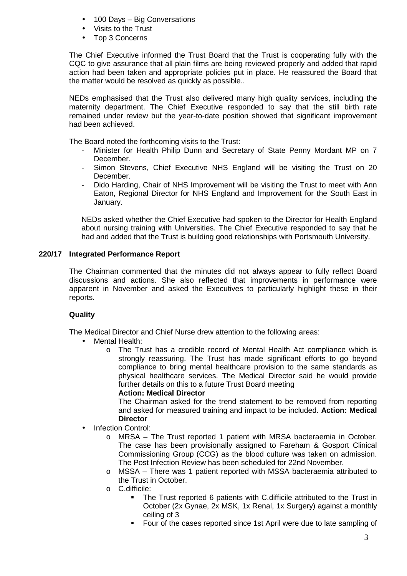- 100 Days Big Conversations
- Visits to the Trust
- Top 3 Concerns

The Chief Executive informed the Trust Board that the Trust is cooperating fully with the CQC to give assurance that all plain films are being reviewed properly and added that rapid action had been taken and appropriate policies put in place. He reassured the Board that the matter would be resolved as quickly as possible..

NEDs emphasised that the Trust also delivered many high quality services, including the maternity department. The Chief Executive responded to say that the still birth rate remained under review but the year-to-date position showed that significant improvement had been achieved.

The Board noted the forthcoming visits to the Trust:

- Minister for Health Philip Dunn and Secretary of State Penny Mordant MP on 7 December.
- Simon Stevens, Chief Executive NHS England will be visiting the Trust on 20 December.
- Dido Harding, Chair of NHS Improvement will be visiting the Trust to meet with Ann Eaton, Regional Director for NHS England and Improvement for the South East in January.

NEDs asked whether the Chief Executive had spoken to the Director for Health England about nursing training with Universities. The Chief Executive responded to say that he had and added that the Trust is building good relationships with Portsmouth University.

### **220/17 Integrated Performance Report**

The Chairman commented that the minutes did not always appear to fully reflect Board discussions and actions. She also reflected that improvements in performance were apparent in November and asked the Executives to particularly highlight these in their reports.

### **Quality**

The Medical Director and Chief Nurse drew attention to the following areas:

- Mental Health:
	- o The Trust has a credible record of Mental Health Act compliance which is strongly reassuring. The Trust has made significant efforts to go beyond compliance to bring mental healthcare provision to the same standards as physical healthcare services. The Medical Director said he would provide further details on this to a future Trust Board meeting **Action: Medical Director**

The Chairman asked for the trend statement to be removed from reporting and asked for measured training and impact to be included. **Action: Medical Director** 

- Infection Control:
	- o MRSA The Trust reported 1 patient with MRSA bacteraemia in October. The case has been provisionally assigned to Fareham & Gosport Clinical Commissioning Group (CCG) as the blood culture was taken on admission. The Post Infection Review has been scheduled for 22nd November.
	- o MSSA There was 1 patient reported with MSSA bacteraemia attributed to the Trust in October.
	- o C.difficile:
		- The Trust reported 6 patients with C.difficile attributed to the Trust in October (2x Gynae, 2x MSK, 1x Renal, 1x Surgery) against a monthly ceiling of 3
		- Four of the cases reported since 1st April were due to late sampling of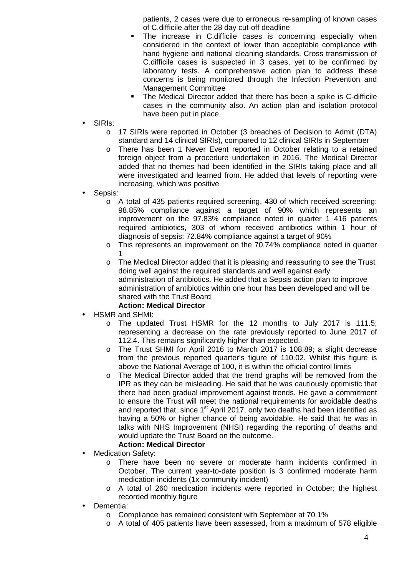patients, 2 cases were due to erroneous re-sampling of known cases of C.difficile after the 28 day cut-off deadline

- The increase in C.difficile cases is concerning especially when considered in the context of lower than acceptable compliance with hand hygiene and national cleaning standards. Cross transmission of C.difficile cases is suspected in 3 cases, yet to be confirmed by laboratory tests. A comprehensive action plan to address these concerns is being monitored through the Infection Prevention and Management Committee
- The Medical Director added that there has been a spike is C-difficile cases in the community also. An action plan and isolation protocol have been put in place
- SIRIs:
	- o 17 SIRIs were reported in October (3 breaches of Decision to Admit (DTA) standard and 14 clinical SIRIs), compared to 12 clinical SIRIs in September
	- o There has been 1 Never Event reported in October relating to a retained foreign object from a procedure undertaken in 2016. The Medical Director added that no themes had been identified in the SIRIs taking place and all were investigated and learned from. He added that levels of reporting were increasing, which was positive
- Sepsis:
	- o A total of 435 patients required screening, 430 of which received screening: 98.85% compliance against a target of 90% which represents an improvement on the 97.83% compliance noted in quarter 1 416 patients required antibiotics, 303 of whom received antibiotics within 1 hour of diagnosis of sepsis: 72.84% compliance against a target of 90%
	- o This represents an improvement on the 70.74% compliance noted in quarter 1
	- o The Medical Director added that it is pleasing and reassuring to see the Trust doing well against the required standards and well against early administration of antibiotics. He added that a Sepsis action plan to improve administration of antibiotics within one hour has been developed and will be shared with the Trust Board **Action: Medical Director**
	- HSMR and SHMI:
		- o The updated Trust HSMR for the 12 months to July 2017 is 111.5; representing a decrease on the rate previously reported to June 2017 of 112.4. This remains significantly higher than expected.
		- o The Trust SHMI for April 2016 to March 2017 is 108.89; a slight decrease from the previous reported quarter's figure of 110.02. Whilst this figure is above the National Average of 100, it is within the official control limits
		- o The Medical Director added that the trend graphs will be removed from the IPR as they can be misleading. He said that he was cautiously optimistic that there had been gradual improvement against trends. He gave a commitment to ensure the Trust will meet the national requirements for avoidable deaths and reported that, since  $1<sup>st</sup>$  April 2017, only two deaths had been identified as having a 50% or higher chance of being avoidable. He said that he was in talks with NHS Improvement (NHSI) regarding the reporting of deaths and would update the Trust Board on the outcome. **Action: Medical Director**
	- Medication Safety:
		- o There have been no severe or moderate harm incidents confirmed in October. The current year-to-date position is 3 confirmed moderate harm medication incidents (1x community incident)
		- o A total of 260 medication incidents were reported in October; the highest recorded monthly figure
- Dementia:
	- o Compliance has remained consistent with September at 70.1%
	- o A total of 405 patients have been assessed, from a maximum of 578 eligible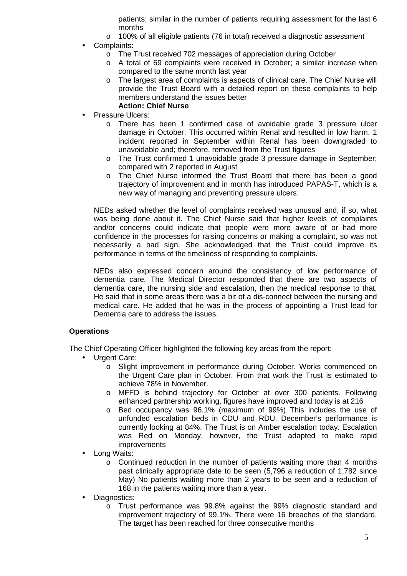patients; similar in the number of patients requiring assessment for the last 6 months

o 100% of all eligible patients (76 in total) received a diagnostic assessment

- Complaints:
	- o The Trust received 702 messages of appreciation during October
	- o A total of 69 complaints were received in October; a similar increase when compared to the same month last year
	- o The largest area of complaints is aspects of clinical care. The Chief Nurse will provide the Trust Board with a detailed report on these complaints to help members understand the issues better **Action: Chief Nurse**
- Pressure Ulcers:
	- o There has been 1 confirmed case of avoidable grade 3 pressure ulcer damage in October. This occurred within Renal and resulted in low harm. 1 incident reported in September within Renal has been downgraded to unavoidable and; therefore, removed from the Trust figures
	- o The Trust confirmed 1 unavoidable grade 3 pressure damage in September; compared with 2 reported in August
	- o The Chief Nurse informed the Trust Board that there has been a good trajectory of improvement and in month has introduced PAPAS-T, which is a new way of managing and preventing pressure ulcers.

NEDs asked whether the level of complaints received was unusual and, if so, what was being done about it. The Chief Nurse said that higher levels of complaints and/or concerns could indicate that people were more aware of or had more confidence in the processes for raising concerns or making a complaint, so was not necessarily a bad sign. She acknowledged that the Trust could improve its performance in terms of the timeliness of responding to complaints.

NEDs also expressed concern around the consistency of low performance of dementia care. The Medical Director responded that there are two aspects of dementia care, the nursing side and escalation, then the medical response to that. He said that in some areas there was a bit of a dis-connect between the nursing and medical care. He added that he was in the process of appointing a Trust lead for Dementia care to address the issues.

### **Operations**

The Chief Operating Officer highlighted the following key areas from the report:

- Urgent Care:
	- o Slight improvement in performance during October. Works commenced on the Urgent Care plan in October. From that work the Trust is estimated to achieve 78% in November.
	- o MFFD is behind trajectory for October at over 300 patients. Following enhanced partnership working, figures have improved and today is at 216
	- o Bed occupancy was 96.1% (maximum of 99%) This includes the use of unfunded escalation beds in CDU and RDU. December's performance is currently looking at 84%. The Trust is on Amber escalation today. Escalation was Red on Monday, however, the Trust adapted to make rapid improvements
	- Long Waits:
		- o Continued reduction in the number of patients waiting more than 4 months past clinically appropriate date to be seen (5,796 a reduction of 1,782 since May) No patients waiting more than 2 years to be seen and a reduction of 168 in the patients waiting more than a year.
- Diagnostics:
	- o Trust performance was 99.8% against the 99% diagnostic standard and improvement trajectory of 99.1%. There were 16 breaches of the standard. The target has been reached for three consecutive months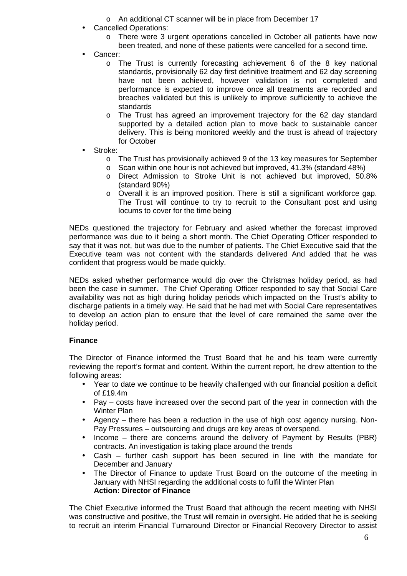- o An additional CT scanner will be in place from December 17
- Cancelled Operations:
	- o There were 3 urgent operations cancelled in October all patients have now been treated, and none of these patients were cancelled for a second time.
- Cancer:
	- o The Trust is currently forecasting achievement 6 of the 8 key national standards, provisionally 62 day first definitive treatment and 62 day screening have not been achieved, however validation is not completed and performance is expected to improve once all treatments are recorded and breaches validated but this is unlikely to improve sufficiently to achieve the standards
	- o The Trust has agreed an improvement trajectory for the 62 day standard supported by a detailed action plan to move back to sustainable cancer delivery. This is being monitored weekly and the trust is ahead of trajectory for October
- Stroke:
	- $\circ$  The Trust has provisionally achieved 9 of the 13 key measures for September
	- o Scan within one hour is not achieved but improved, 41.3% (standard 48%)
	- o Direct Admission to Stroke Unit is not achieved but improved, 50.8% (standard 90%)
	- o Overall it is an improved position. There is still a significant workforce gap. The Trust will continue to try to recruit to the Consultant post and using locums to cover for the time being

NEDs questioned the trajectory for February and asked whether the forecast improved performance was due to it being a short month. The Chief Operating Officer responded to say that it was not, but was due to the number of patients. The Chief Executive said that the Executive team was not content with the standards delivered And added that he was confident that progress would be made quickly.

NEDs asked whether performance would dip over the Christmas holiday period, as had been the case in summer. The Chief Operating Officer responded to say that Social Care availability was not as high during holiday periods which impacted on the Trust's ability to discharge patients in a timely way. He said that he had met with Social Care representatives to develop an action plan to ensure that the level of care remained the same over the holiday period.

# **Finance**

The Director of Finance informed the Trust Board that he and his team were currently reviewing the report's format and content. Within the current report, he drew attention to the following areas:

- Year to date we continue to be heavily challenged with our financial position a deficit of £19.4m
- Pay costs have increased over the second part of the year in connection with the Winter Plan
- Agency there has been a reduction in the use of high cost agency nursing. Non-Pay Pressures – outsourcing and drugs are key areas of overspend.
- Income there are concerns around the delivery of Payment by Results (PBR) contracts. An investigation is taking place around the trends
- Cash further cash support has been secured in line with the mandate for December and January
- The Director of Finance to update Trust Board on the outcome of the meeting in January with NHSI regarding the additional costs to fulfil the Winter Plan **Action: Director of Finance**

The Chief Executive informed the Trust Board that although the recent meeting with NHSI was constructive and positive, the Trust will remain in oversight. He added that he is seeking to recruit an interim Financial Turnaround Director or Financial Recovery Director to assist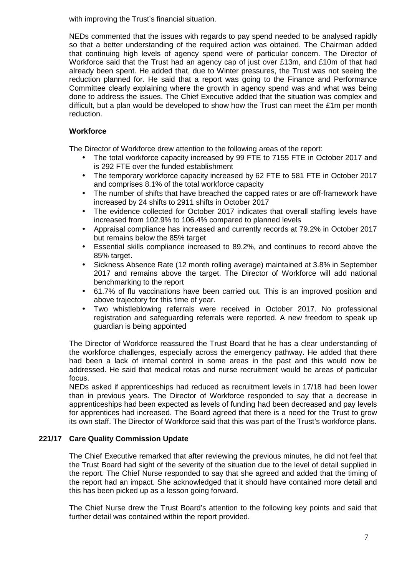with improving the Trust's financial situation.

NEDs commented that the issues with regards to pay spend needed to be analysed rapidly so that a better understanding of the required action was obtained. The Chairman added that continuing high levels of agency spend were of particular concern. The Director of Workforce said that the Trust had an agency cap of just over £13m, and £10m of that had already been spent. He added that, due to Winter pressures, the Trust was not seeing the reduction planned for. He said that a report was going to the Finance and Performance Committee clearly explaining where the growth in agency spend was and what was being done to address the issues. The Chief Executive added that the situation was complex and difficult, but a plan would be developed to show how the Trust can meet the £1m per month reduction.

### **Workforce**

The Director of Workforce drew attention to the following areas of the report:

- The total workforce capacity increased by 99 FTE to 7155 FTE in October 2017 and is 292 FTE over the funded establishment
- The temporary workforce capacity increased by 62 FTE to 581 FTE in October 2017 and comprises 8.1% of the total workforce capacity
- The number of shifts that have breached the capped rates or are off-framework have increased by 24 shifts to 2911 shifts in October 2017
- The evidence collected for October 2017 indicates that overall staffing levels have increased from 102.9% to 106.4% compared to planned levels
- Appraisal compliance has increased and currently records at 79.2% in October 2017 but remains below the 85% target
- Essential skills compliance increased to 89.2%, and continues to record above the 85% target.
- Sickness Absence Rate (12 month rolling average) maintained at 3.8% in September 2017 and remains above the target. The Director of Workforce will add national benchmarking to the report
- 61.7% of flu vaccinations have been carried out. This is an improved position and above trajectory for this time of year.
- Two whistleblowing referrals were received in October 2017. No professional registration and safeguarding referrals were reported. A new freedom to speak up guardian is being appointed

The Director of Workforce reassured the Trust Board that he has a clear understanding of the workforce challenges, especially across the emergency pathway. He added that there had been a lack of internal control in some areas in the past and this would now be addressed. He said that medical rotas and nurse recruitment would be areas of particular focus.

NEDs asked if apprenticeships had reduced as recruitment levels in 17/18 had been lower than in previous years. The Director of Workforce responded to say that a decrease in apprenticeships had been expected as levels of funding had been decreased and pay levels for apprentices had increased. The Board agreed that there is a need for the Trust to grow its own staff. The Director of Workforce said that this was part of the Trust's workforce plans.

### **221/17 Care Quality Commission Update**

The Chief Executive remarked that after reviewing the previous minutes, he did not feel that the Trust Board had sight of the severity of the situation due to the level of detail supplied in the report. The Chief Nurse responded to say that she agreed and added that the timing of the report had an impact. She acknowledged that it should have contained more detail and this has been picked up as a lesson going forward.

The Chief Nurse drew the Trust Board's attention to the following key points and said that further detail was contained within the report provided.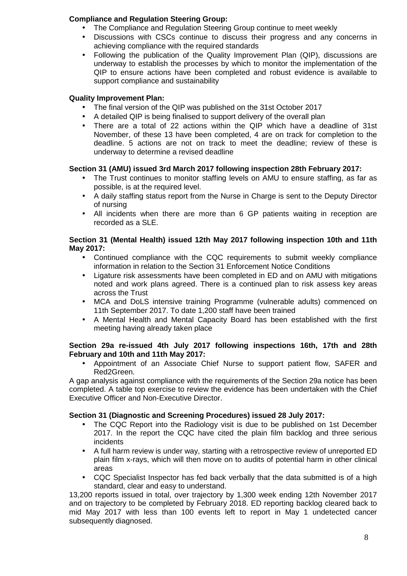# **Compliance and Regulation Steering Group:**

- The Compliance and Regulation Steering Group continue to meet weekly
- Discussions with CSCs continue to discuss their progress and any concerns in achieving compliance with the required standards
- Following the publication of the Quality Improvement Plan (QIP), discussions are underway to establish the processes by which to monitor the implementation of the QIP to ensure actions have been completed and robust evidence is available to support compliance and sustainability

# **Quality Improvement Plan:**

- The final version of the QIP was published on the 31st October 2017
- A detailed QIP is being finalised to support delivery of the overall plan
- There are a total of 22 actions within the QIP which have a deadline of 31st November, of these 13 have been completed, 4 are on track for completion to the deadline. 5 actions are not on track to meet the deadline; review of these is underway to determine a revised deadline

# **Section 31 (AMU) issued 3rd March 2017 following inspection 28th February 2017:**

- The Trust continues to monitor staffing levels on AMU to ensure staffing, as far as possible, is at the required level.
- A daily staffing status report from the Nurse in Charge is sent to the Deputy Director of nursing
- All incidents when there are more than 6 GP patients waiting in reception are recorded as a SLE.

### **Section 31 (Mental Health) issued 12th May 2017 following inspection 10th and 11th May 2017:**

- Continued compliance with the CQC requirements to submit weekly compliance information in relation to the Section 31 Enforcement Notice Conditions
- Ligature risk assessments have been completed in ED and on AMU with mitigations noted and work plans agreed. There is a continued plan to risk assess key areas across the Trust
- MCA and DoLS intensive training Programme (vulnerable adults) commenced on 11th September 2017. To date 1,200 staff have been trained
- A Mental Health and Mental Capacity Board has been established with the first meeting having already taken place

### **Section 29a re-issued 4th July 2017 following inspections 16th, 17th and 28th February and 10th and 11th May 2017:**

• Appointment of an Associate Chief Nurse to support patient flow, SAFER and Red2Green.

A gap analysis against compliance with the requirements of the Section 29a notice has been completed. A table top exercise to review the evidence has been undertaken with the Chief Executive Officer and Non-Executive Director.

### **Section 31 (Diagnostic and Screening Procedures) issued 28 July 2017:**

- The CQC Report into the Radiology visit is due to be published on 1st December 2017. In the report the CQC have cited the plain film backlog and three serious incidents
- A full harm review is under way, starting with a retrospective review of unreported ED plain film x-rays, which will then move on to audits of potential harm in other clinical areas
- CQC Specialist Inspector has fed back verbally that the data submitted is of a high standard, clear and easy to understand.

13,200 reports issued in total, over trajectory by 1,300 week ending 12th November 2017 and on trajectory to be completed by February 2018. ED reporting backlog cleared back to mid May 2017 with less than 100 events left to report in May 1 undetected cancer subsequently diagnosed.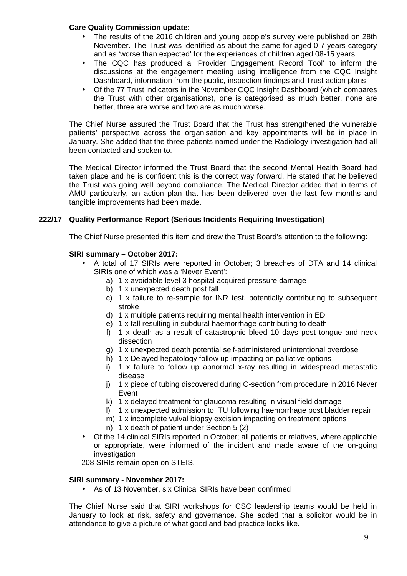### **Care Quality Commission update:**

- The results of the 2016 children and young people's survey were published on 28th November. The Trust was identified as about the same for aged 0-7 years category and as 'worse than expected' for the experiences of children aged 08-15 years
- The CQC has produced a 'Provider Engagement Record Tool' to inform the discussions at the engagement meeting using intelligence from the CQC Insight Dashboard, information from the public, inspection findings and Trust action plans
- Of the 77 Trust indicators in the November CQC Insight Dashboard (which compares the Trust with other organisations), one is categorised as much better, none are better, three are worse and two are as much worse.

The Chief Nurse assured the Trust Board that the Trust has strengthened the vulnerable patients' perspective across the organisation and key appointments will be in place in January. She added that the three patients named under the Radiology investigation had all been contacted and spoken to.

The Medical Director informed the Trust Board that the second Mental Health Board had taken place and he is confident this is the correct way forward. He stated that he believed the Trust was going well beyond compliance. The Medical Director added that in terms of AMU particularly, an action plan that has been delivered over the last few months and tangible improvements had been made.

# **222/17 Quality Performance Report (Serious Incidents Requiring Investigation)**

The Chief Nurse presented this item and drew the Trust Board's attention to the following:

### **SIRI summary – October 2017:**

- A total of 17 SIRIs were reported in October; 3 breaches of DTA and 14 clinical SIRIs one of which was a 'Never Event':
	- a) 1 x avoidable level 3 hospital acquired pressure damage
	- b) 1 x unexpected death post fall
	- c) 1 x failure to re-sample for INR test, potentially contributing to subsequent stroke
	- d) 1 x multiple patients requiring mental health intervention in ED
	- e) 1 x fall resulting in subdural haemorrhage contributing to death
	- f) 1 x death as a result of catastrophic bleed 10 days post tongue and neck dissection
	- g) 1 x unexpected death potential self-administered unintentional overdose
	- h) 1 x Delayed hepatology follow up impacting on palliative options
	- i) 1 x failure to follow up abnormal x-ray resulting in widespread metastatic disease
	- j) 1 x piece of tubing discovered during C-section from procedure in 2016 Never Event
	- k) 1 x delayed treatment for glaucoma resulting in visual field damage
	- l) 1 x unexpected admission to ITU following haemorrhage post bladder repair
	- m) 1 x incomplete vulval biopsy excision impacting on treatment options
	- n) 1 x death of patient under Section 5 (2)
- Of the 14 clinical SIRIs reported in October; all patients or relatives, where applicable or appropriate, were informed of the incident and made aware of the on-going investigation

208 SIRIs remain open on STEIS.

# **SIRI summary - November 2017:**

• As of 13 November, six Clinical SIRIs have been confirmed

The Chief Nurse said that SIRI workshops for CSC leadership teams would be held in January to look at risk, safety and governance. She added that a solicitor would be in attendance to give a picture of what good and bad practice looks like.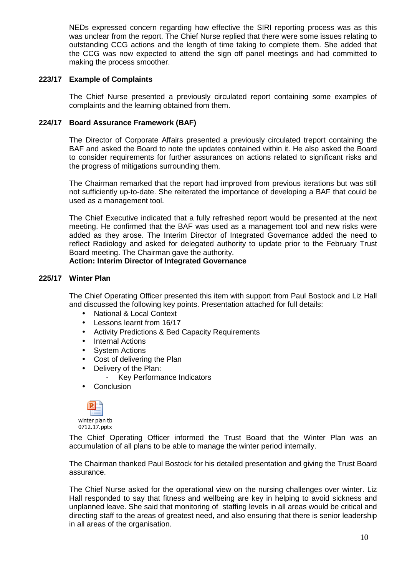NEDs expressed concern regarding how effective the SIRI reporting process was as this was unclear from the report. The Chief Nurse replied that there were some issues relating to outstanding CCG actions and the length of time taking to complete them. She added that the CCG was now expected to attend the sign off panel meetings and had committed to making the process smoother.

### **223/17 Example of Complaints**

The Chief Nurse presented a previously circulated report containing some examples of complaints and the learning obtained from them.

### **224/17 Board Assurance Framework (BAF)**

The Director of Corporate Affairs presented a previously circulated treport containing the BAF and asked the Board to note the updates contained within it. He also asked the Board to consider requirements for further assurances on actions related to significant risks and the progress of mitigations surrounding them.

The Chairman remarked that the report had improved from previous iterations but was still not sufficiently up-to-date. She reiterated the importance of developing a BAF that could be used as a management tool.

The Chief Executive indicated that a fully refreshed report would be presented at the next meeting. He confirmed that the BAF was used as a management tool and new risks were added as they arose. The Interim Director of Integrated Governance added the need to reflect Radiology and asked for delegated authority to update prior to the February Trust Board meeting. The Chairman gave the authority.

### **Action: Interim Director of Integrated Governance**

### **225/17 Winter Plan**

The Chief Operating Officer presented this item with support from Paul Bostock and Liz Hall and discussed the following key points. Presentation attached for full details:

- National & Local Context
- Lessons learnt from 16/17
- Activity Predictions & Bed Capacity Requirements
- Internal Actions
- System Actions
- Cost of delivering the Plan
- Delivery of the Plan:
	- Key Performance Indicators
- **Conclusion**



The Chief Operating Officer informed the Trust Board that the Winter Plan was an accumulation of all plans to be able to manage the winter period internally.

The Chairman thanked Paul Bostock for his detailed presentation and giving the Trust Board assurance.

The Chief Nurse asked for the operational view on the nursing challenges over winter. Liz Hall responded to say that fitness and wellbeing are key in helping to avoid sickness and unplanned leave. She said that monitoring of staffing levels in all areas would be critical and directing staff to the areas of greatest need, and also ensuring that there is senior leadership in all areas of the organisation.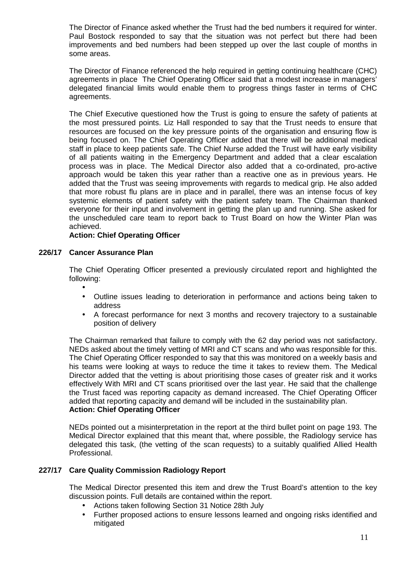The Director of Finance asked whether the Trust had the bed numbers it required for winter. Paul Bostock responded to say that the situation was not perfect but there had been improvements and bed numbers had been stepped up over the last couple of months in some areas.

The Director of Finance referenced the help required in getting continuing healthcare (CHC) agreements in place The Chief Operating Officer said that a modest increase in managers' delegated financial limits would enable them to progress things faster in terms of CHC agreements.

The Chief Executive questioned how the Trust is going to ensure the safety of patients at the most pressured points. Liz Hall responded to say that the Trust needs to ensure that resources are focused on the key pressure points of the organisation and ensuring flow is being focused on. The Chief Operating Officer added that there will be additional medical staff in place to keep patients safe. The Chief Nurse added the Trust will have early visibility of all patients waiting in the Emergency Department and added that a clear escalation process was in place. The Medical Director also added that a co-ordinated, pro-active approach would be taken this year rather than a reactive one as in previous years. He added that the Trust was seeing improvements with regards to medical grip. He also added that more robust flu plans are in place and in parallel, there was an intense focus of key systemic elements of patient safety with the patient safety team. The Chairman thanked everyone for their input and involvement in getting the plan up and running. She asked for the unscheduled care team to report back to Trust Board on how the Winter Plan was achieved.

### **Action: Chief Operating Officer**

### **226/17 Cancer Assurance Plan**

The Chief Operating Officer presented a previously circulated report and highlighted the following:

- •
- Outline issues leading to deterioration in performance and actions being taken to address
- A forecast performance for next 3 months and recovery trajectory to a sustainable position of delivery

The Chairman remarked that failure to comply with the 62 day period was not satisfactory. NEDs asked about the timely vetting of MRI and CT scans and who was responsible for this. The Chief Operating Officer responded to say that this was monitored on a weekly basis and his teams were looking at ways to reduce the time it takes to review them. The Medical Director added that the vetting is about prioritising those cases of greater risk and it works effectively With MRI and CT scans prioritised over the last year. He said that the challenge the Trust faced was reporting capacity as demand increased. The Chief Operating Officer added that reporting capacity and demand will be included in the sustainability plan. **Action: Chief Operating Officer** 

NEDs pointed out a misinterpretation in the report at the third bullet point on page 193. The Medical Director explained that this meant that, where possible, the Radiology service has delegated this task, (the vetting of the scan requests) to a suitably qualified Allied Health Professional.

### **227/17 Care Quality Commission Radiology Report**

The Medical Director presented this item and drew the Trust Board's attention to the key discussion points. Full details are contained within the report.

- Actions taken following Section 31 Notice 28th July
- Further proposed actions to ensure lessons learned and ongoing risks identified and mitigated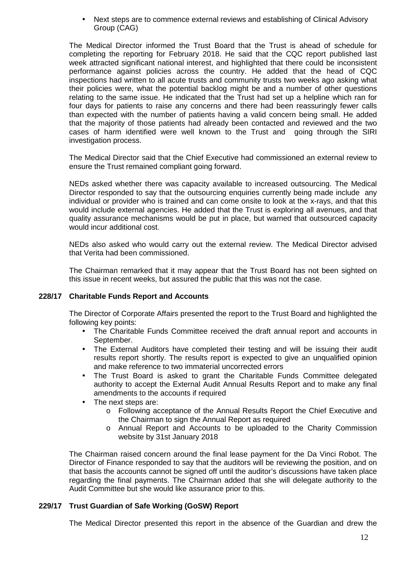• Next steps are to commence external reviews and establishing of Clinical Advisory Group (CAG)

The Medical Director informed the Trust Board that the Trust is ahead of schedule for completing the reporting for February 2018. He said that the CQC report published last week attracted significant national interest, and highlighted that there could be inconsistent performance against policies across the country. He added that the head of CQC inspections had written to all acute trusts and community trusts two weeks ago asking what their policies were, what the potential backlog might be and a number of other questions relating to the same issue. He indicated that the Trust had set up a helpline which ran for four days for patients to raise any concerns and there had been reassuringly fewer calls than expected with the number of patients having a valid concern being small. He added that the majority of those patients had already been contacted and reviewed and the two cases of harm identified were well known to the Trust and going through the SIRI investigation process.

The Medical Director said that the Chief Executive had commissioned an external review to ensure the Trust remained compliant going forward.

NEDs asked whether there was capacity available to increased outsourcing. The Medical Director responded to say that the outsourcing enquiries currently being made include any individual or provider who is trained and can come onsite to look at the x-rays, and that this would include external agencies. He added that the Trust is exploring all avenues, and that quality assurance mechanisms would be put in place, but warned that outsourced capacity would incur additional cost.

NEDs also asked who would carry out the external review. The Medical Director advised that Verita had been commissioned.

The Chairman remarked that it may appear that the Trust Board has not been sighted on this issue in recent weeks, but assured the public that this was not the case.

### **228/17 Charitable Funds Report and Accounts**

The Director of Corporate Affairs presented the report to the Trust Board and highlighted the following key points:

- The Charitable Funds Committee received the draft annual report and accounts in September.
- The External Auditors have completed their testing and will be issuing their audit results report shortly. The results report is expected to give an unqualified opinion and make reference to two immaterial uncorrected errors
- The Trust Board is asked to grant the Charitable Funds Committee delegated authority to accept the External Audit Annual Results Report and to make any final amendments to the accounts if required
- The next steps are:
	- o Following acceptance of the Annual Results Report the Chief Executive and the Chairman to sign the Annual Report as required
	- o Annual Report and Accounts to be uploaded to the Charity Commission website by 31st January 2018

The Chairman raised concern around the final lease payment for the Da Vinci Robot. The Director of Finance responded to say that the auditors will be reviewing the position, and on that basis the accounts cannot be signed off until the auditor's discussions have taken place regarding the final payments. The Chairman added that she will delegate authority to the Audit Committee but she would like assurance prior to this.

#### **229/17 Trust Guardian of Safe Working (GoSW) Report**

The Medical Director presented this report in the absence of the Guardian and drew the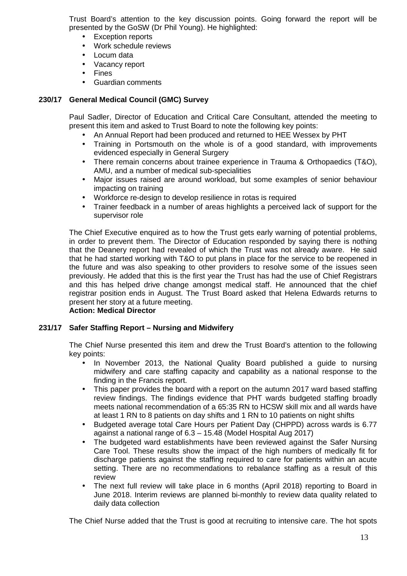Trust Board's attention to the key discussion points. Going forward the report will be presented by the GoSW (Dr Phil Young). He highlighted:

- **Exception reports**
- Work schedule reviews
- Locum data
- Vacancy report
- **Fines**
- Guardian comments

# **230/17 General Medical Council (GMC) Survey**

Paul Sadler, Director of Education and Critical Care Consultant, attended the meeting to present this item and asked to Trust Board to note the following key points:

- An Annual Report had been produced and returned to HEE Wessex by PHT
- Training in Portsmouth on the whole is of a good standard, with improvements evidenced especially in General Surgery
- There remain concerns about trainee experience in Trauma & Orthopaedics (T&O), AMU, and a number of medical sub-specialities
- Major issues raised are around workload, but some examples of senior behaviour impacting on training
- Workforce re-design to develop resilience in rotas is required
- Trainer feedback in a number of areas highlights a perceived lack of support for the supervisor role

The Chief Executive enquired as to how the Trust gets early warning of potential problems, in order to prevent them. The Director of Education responded by saying there is nothing that the Deanery report had revealed of which the Trust was not already aware. He said that he had started working with T&O to put plans in place for the service to be reopened in the future and was also speaking to other providers to resolve some of the issues seen previously. He added that this is the first year the Trust has had the use of Chief Registrars and this has helped drive change amongst medical staff. He announced that the chief registrar position ends in August. The Trust Board asked that Helena Edwards returns to present her story at a future meeting.

### **Action: Medical Director**

### **231/17 Safer Staffing Report – Nursing and Midwifery**

The Chief Nurse presented this item and drew the Trust Board's attention to the following key points:

- In November 2013, the National Quality Board published a guide to nursing midwifery and care staffing capacity and capability as a national response to the finding in the Francis report.
- This paper provides the board with a report on the autumn 2017 ward based staffing review findings. The findings evidence that PHT wards budgeted staffing broadly meets national recommendation of a 65:35 RN to HCSW skill mix and all wards have at least 1 RN to 8 patients on day shifts and 1 RN to 10 patients on night shifts
- Budgeted average total Care Hours per Patient Day (CHPPD) across wards is 6.77 against a national range of 6.3 – 15.48 (Model Hospital Aug 2017)
- The budgeted ward establishments have been reviewed against the Safer Nursing Care Tool. These results show the impact of the high numbers of medically fit for discharge patients against the staffing required to care for patients within an acute setting. There are no recommendations to rebalance staffing as a result of this review
- The next full review will take place in 6 months (April 2018) reporting to Board in June 2018. Interim reviews are planned bi-monthly to review data quality related to daily data collection

The Chief Nurse added that the Trust is good at recruiting to intensive care. The hot spots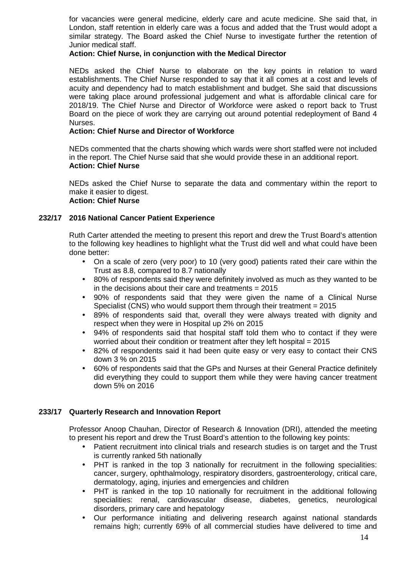for vacancies were general medicine, elderly care and acute medicine. She said that, in London, staff retention in elderly care was a focus and added that the Trust would adopt a similar strategy. The Board asked the Chief Nurse to investigate further the retention of Junior medical staff.

### **Action: Chief Nurse, in conjunction with the Medical Director**

NEDs asked the Chief Nurse to elaborate on the key points in relation to ward establishments. The Chief Nurse responded to say that it all comes at a cost and levels of acuity and dependency had to match establishment and budget. She said that discussions were taking place around professional judgement and what is affordable clinical care for 2018/19. The Chief Nurse and Director of Workforce were asked o report back to Trust Board on the piece of work they are carrying out around potential redeployment of Band 4 Nurses.

### **Action: Chief Nurse and Director of Workforce**

NEDs commented that the charts showing which wards were short staffed were not included in the report. The Chief Nurse said that she would provide these in an additional report. **Action: Chief Nurse** 

NEDs asked the Chief Nurse to separate the data and commentary within the report to make it easier to digest. **Action: Chief Nurse** 

# **232/17 2016 National Cancer Patient Experience**

Ruth Carter attended the meeting to present this report and drew the Trust Board's attention to the following key headlines to highlight what the Trust did well and what could have been done better:

- On a scale of zero (very poor) to 10 (very good) patients rated their care within the Trust as 8.8, compared to 8.7 nationally
- 80% of respondents said they were definitely involved as much as they wanted to be in the decisions about their care and treatments  $= 2015$
- 90% of respondents said that they were given the name of a Clinical Nurse Specialist (CNS) who would support them through their treatment = 2015
- 89% of respondents said that, overall they were always treated with dignity and respect when they were in Hospital up 2% on 2015
- 94% of respondents said that hospital staff told them who to contact if they were worried about their condition or treatment after they left hospital = 2015
- 82% of respondents said it had been quite easy or very easy to contact their CNS down 3 % on 2015
- 60% of respondents said that the GPs and Nurses at their General Practice definitely did everything they could to support them while they were having cancer treatment down 5% on 2016

# **233/17 Quarterly Research and Innovation Report**

Professor Anoop Chauhan, Director of Research & Innovation (DRI), attended the meeting to present his report and drew the Trust Board's attention to the following key points:

- Patient recruitment into clinical trials and research studies is on target and the Trust is currently ranked 5th nationally
- PHT is ranked in the top 3 nationally for recruitment in the following specialities: cancer, surgery, ophthalmology, respiratory disorders, gastroenterology, critical care, dermatology, aging, injuries and emergencies and children
- PHT is ranked in the top 10 nationally for recruitment in the additional following specialities: renal, cardiovascular disease, diabetes, genetics, neurological disorders, primary care and hepatology
- Our performance initiating and delivering research against national standards remains high; currently 69% of all commercial studies have delivered to time and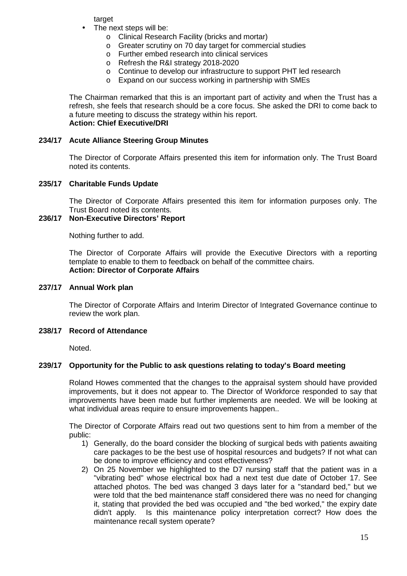target

- The next steps will be:
	- o Clinical Research Facility (bricks and mortar)
	- o Greater scrutiny on 70 day target for commercial studies
	- o Further embed research into clinical services
	- o Refresh the R&I strategy 2018-2020
	- o Continue to develop our infrastructure to support PHT led research
	- o Expand on our success working in partnership with SMEs

The Chairman remarked that this is an important part of activity and when the Trust has a refresh, she feels that research should be a core focus. She asked the DRI to come back to a future meeting to discuss the strategy within his report. **Action: Chief Executive/DRI** 

### **234/17 Acute Alliance Steering Group Minutes**

The Director of Corporate Affairs presented this item for information only. The Trust Board noted its contents.

### **235/17 Charitable Funds Update**

The Director of Corporate Affairs presented this item for information purposes only. The Trust Board noted its contents.

### **236/17 Non-Executive Directors' Report**

Nothing further to add.

The Director of Corporate Affairs will provide the Executive Directors with a reporting template to enable to them to feedback on behalf of the committee chairs. **Action: Director of Corporate Affairs** 

#### **237/17 Annual Work plan**

The Director of Corporate Affairs and Interim Director of Integrated Governance continue to review the work plan.

#### **238/17 Record of Attendance**

Noted.

#### **239/17 Opportunity for the Public to ask questions relating to today's Board meeting**

Roland Howes commented that the changes to the appraisal system should have provided improvements, but it does not appear to. The Director of Workforce responded to say that improvements have been made but further implements are needed. We will be looking at what individual areas require to ensure improvements happen...

The Director of Corporate Affairs read out two questions sent to him from a member of the public:

- 1) Generally, do the board consider the blocking of surgical beds with patients awaiting care packages to be the best use of hospital resources and budgets? If not what can be done to improve efficiency and cost effectiveness?
- 2) On 25 November we highlighted to the D7 nursing staff that the patient was in a "vibrating bed" whose electrical box had a next test due date of October 17. See attached photos. The bed was changed 3 days later for a "standard bed," but we were told that the bed maintenance staff considered there was no need for changing it, stating that provided the bed was occupied and "the bed worked," the expiry date didn't apply. Is this maintenance policy interpretation correct? How does the maintenance recall system operate?